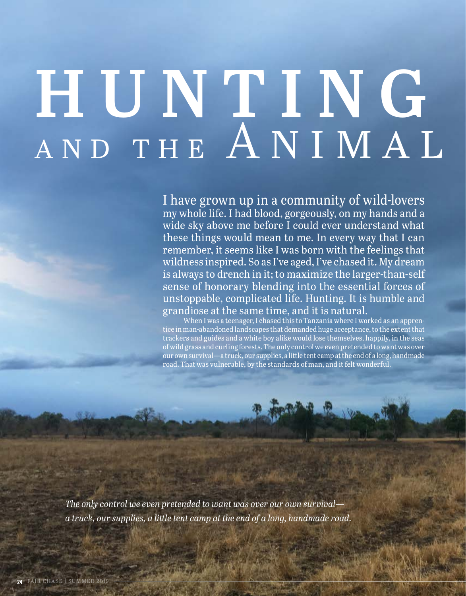## **HUNTING** AND THE ANIMAL

I have grown up in a community of wild-lovers my whole life. I had blood, gorgeously, on my hands and a wide sky above me before I could ever understand what these things would mean to me. In every way that I can remember, it seems like I was born with the feelings that wildness inspired. So as I've aged, I've chased it. My dream is always to drench in it; to maximize the larger-than-self sense of honorary blending into the essential forces of unstoppable, complicated life. Hunting. It is humble and grandiose at the same time, and it is natural.

When I was a teenager, I chased this to Tanzania where I worked as an apprentice in man-abandoned landscapes that demanded huge acceptance, to the extent that trackers and guides and a white boy alike would lose themselves, happily, in the seas of wild grass and curling forests. The only control we even pretended to want was over our own survival—a truck, our supplies, a little tent camp at the end of a long, handmade road. That was vulnerable, by the standards of man, and it felt wonderful.

*The only control we even pretended to want was over our own survival a truck, our supplies, a little tent camp at the end of a long, handmade road.*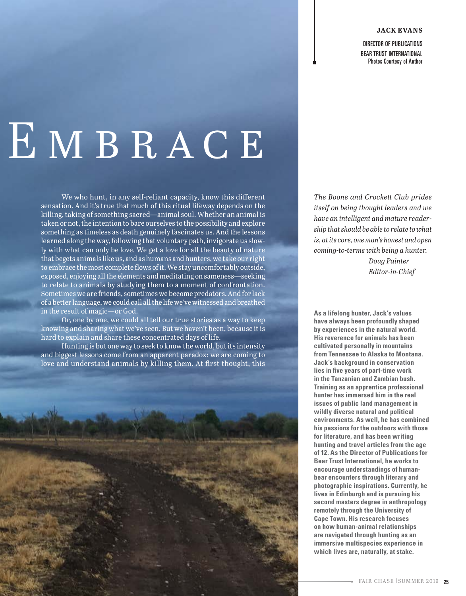## **JACK EVANS**

DIRECTOR OF PUBLICATIONS BEAR TRUST INTERNATIONAL Photos Courtesy of Author

## $E$  MBRACE

We who hunt, in any self-reliant capacity, know this different sensation. And it's true that much of this ritual lifeway depends on the killing, taking of something sacred—animal soul. Whether an animal is taken or not, the intention to bare ourselves to the possibility and explore something as timeless as death genuinely fascinates us. And the lessons learned along the way, following that voluntary path, invigorate us slowly with what can only be love. We get a love for all the beauty of nature that begets animals like us, and as humans and hunters, we take our right to embrace the most complete flows of it. We stay uncomfortably outside, exposed, enjoying all the elements and meditating on sameness—seeking to relate to animals by studying them to a moment of confrontation. Sometimes we are friends, sometimes we become predators. And for lack of a better language, we could call all the life we've witnessed and breathed in the result of magic—or God.

Or, one by one, we could all tell our true stories as a way to keep knowing and sharing what we've seen. But we haven't been, because it is hard to explain and share these concentrated days of life.

Hunting is but one way to seek to know the world, but its intensity and biggest lessons come from an apparent paradox: we are coming to love and understand animals by killing them. At first thought, this



*The Boone and Crockett Club prides itself on being thought leaders and we have an intelligent and mature readership that should be able to relate to what is, at its core, one man's honest and open coming-to-terms with being a hunter.*

> *Doug Painter Editor-in-Chief*

**As a lifelong hunter, Jack's values have always been profoundly shaped by experiences in the natural world. His reverence for animals has been cultivated personally in mountains from Tennessee to Alaska to Montana. Jack's background in conservation lies in five years of part-time work in the Tanzanian and Zambian bush. Training as an apprentice professional hunter has immersed him in the real issues of public land management in wildly diverse natural and political environments. As well, he has combined his passions for the outdoors with those for literature, and has been writing hunting and travel articles from the age of 12. As the Director of Publications for Bear Trust International, he works to encourage understandings of humanbear encounters through literary and photographic inspirations. Currently, he lives in Edinburgh and is pursuing his second masters degree in anthropology remotely through the University of Cape Town. His research focuses on how human-animal relationships are navigated through hunting as an immersive multispecies experience in which lives are, naturally, at stake.**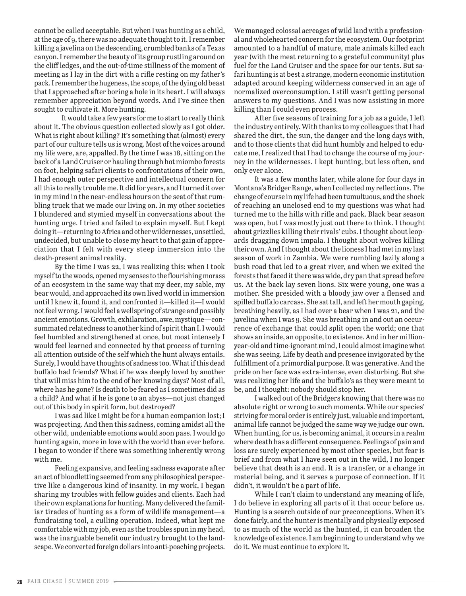cannot be called acceptable. But when I was hunting as a child, at the age of 9, there was no adequate thought to it. I remember killing a javelina on the descending, crumbled banks of a Texas canyon. I remember the beauty of its group rustling around on the cliff ledges, and the out-of-time stillness of the moment of meeting as I lay in the dirt with a rifle resting on my father's pack. I remember the hugeness, the scope, of the dying old beast that I approached after boring a hole in its heart. I will always remember appreciation beyond words. And I've since then sought to cultivate it. More hunting.

It would take a few years for me to start to really think about it. The obvious question collected slowly as I got older. What is right about killing? It's something that (almost) every part of our culture tells us is wrong. Most of the voices around my life were, are, appalled. By the time I was 18, sitting on the back of a Land Cruiser or hauling through hot miombo forests on foot, helping safari clients to confrontations of their own, I had enough outer perspective and intellectual concern for all this to really trouble me. It did for years, and I turned it over in my mind in the near-endless hours on the seat of that rumbling truck that we made our living on. In my other societies I blundered and stymied myself in conversations about the hunting urge. I tried and failed to explain myself. But I kept doing it—returning to Africa and other wildernesses, unsettled, undecided, but unable to close my heart to that gain of appreciation that I felt with every steep immersion into the death-present animal reality.

By the time I was 22, I was realizing this: when I took myself to the woods, opened my senses to the flourishing morass of an ecosystem in the same way that my deer, my sable, my bear would, and approached its own lived world in immersion until I knew it, found it, and confronted it—killed it—I would not feel wrong. I would feel a wellspring of strange and possibly ancient emotions. Growth, exhilaration, awe, mystique—consummated relatedness to another kind of spirit than I. I would feel humbled and strengthened at once, but most intensely I would feel learned and connected by that process of turning all attention outside of the self which the hunt always entails. Surely, I would have thoughts of sadness too. What if this dead buffalo had friends? What if he was deeply loved by another that will miss him to the end of her knowing days? Most of all, where has he gone? Is death to be feared as I sometimes did as a child? And what if he is gone to an abyss—not just changed out of this body in spirit form, but destroyed?

I was sad like I might be for a human companion lost; I was projecting. And then this sadness, coming amidst all the other wild, undeniable emotions would soon pass. I would go hunting again, more in love with the world than ever before. I began to wonder if there was something inherently wrong with me.

Feeling expansive, and feeling sadness evaporate after an act of bloodletting seemed from any philosophical perspective like a dangerous kind of insanity. In my work, I began sharing my troubles with fellow guides and clients. Each had their own explanations for hunting. Many delivered the familiar tirades of hunting as a form of wildlife management—a fundraising tool, a culling operation. Indeed, what kept me comfortable with my job, even as the troubles spun in my head, was the inarguable benefit our industry brought to the landscape. We converted foreign dollars into anti-poaching projects. We managed colossal acreages of wild land with a professional and wholehearted concern for the ecosystem. Our footprint amounted to a handful of mature, male animals killed each year (with the meat returning to a grateful community) plus fuel for the Land Cruiser and the space for our tents. But safari hunting is at best a strange, modern economic institution adapted around keeping wilderness conserved in an age of normalized overconsumption. I still wasn't getting personal answers to my questions. And I was now assisting in more killing than I could even process.

After five seasons of training for a job as a guide, I left the industry entirely. With thanks to my colleagues that I had shared the dirt, the sun, the danger and the long days with, and to those clients that did hunt humbly and helped to educate me, I realized that I had to change the course of my journey in the wildernesses. I kept hunting, but less often, and only ever alone.

It was a few months later, while alone for four days in Montana's Bridger Range, when I collected my reflections. The change of course in my life had been tumultuous, and the shock of reaching an unclosed end to my questions was what had turned me to the hills with rifle and pack. Black bear season was open, but I was mostly just out there to think. I thought about grizzlies killing their rivals' cubs. I thought about leopards dragging down impala. I thought about wolves killing their own. And I thought about the lioness I had met in my last season of work in Zambia. We were rumbling lazily along a bush road that led to a great river, and when we exited the forests that faced it there was wide, dry pan that spread before us. At the back lay seven lions. Six were young, one was a mother. She presided with a bloody jaw over a flensed and spilled buffalo carcass. She sat tall, and left her mouth gaping, breathing heavily, as I had over a bear when I was 21, and the javelina when I was 9. She was breathing in and out an occurrence of exchange that could split open the world; one that shows an inside, an opposite, to existence. And in her millionyear-old and time-ignorant mind, I could almost imagine what she was seeing. Life by death and presence invigorated by the fulfillment of a primordial purpose. It was generative. And the pride on her face was extra-intense, even disturbing. But she was realizing her life and the buffalo's as they were meant to be, and I thought: nobody should stop her.

I walked out of the Bridgers knowing that there was no absolute right or wrong to such moments. While our species' striving for moral order is entirely just, valuable and important, animal life cannot be judged the same way we judge our own. When hunting, for us, is becoming animal, it occurs in a realm where death has a different consequence. Feelings of pain and loss are surely experienced by most other species, but fear is brief and from what I have seen out in the wild, I no longer believe that death is an end. It is a transfer, or a change in material being, and it serves a purpose of connection. If it didn't, it wouldn't be a part of life.

While I can't claim to understand any meaning of life, I do believe in exploring all parts of it that occur before us. Hunting is a search outside of our preconceptions. When it's done fairly, and the hunter is mentally and physically exposed to as much of the world as the hunted, it can broaden the knowledge of existence. I am beginning to understand why we do it. We must continue to explore it.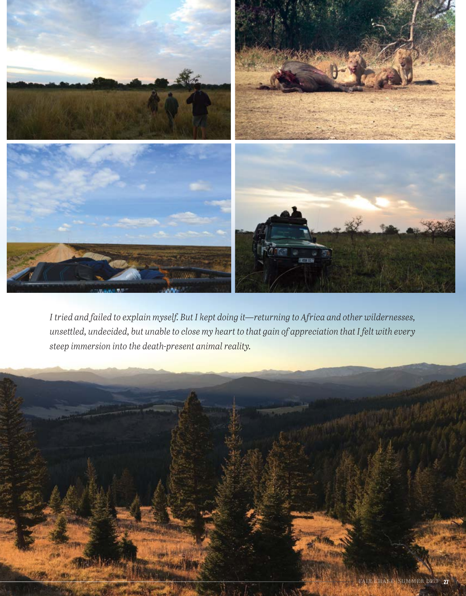

*I tried and failed to explain myself. But I kept doing it—returning to Africa and other wildernesses, unsettled, undecided, but unable to close my heart to that gain of appreciation that I felt with every steep immersion into the death-present animal reality.*